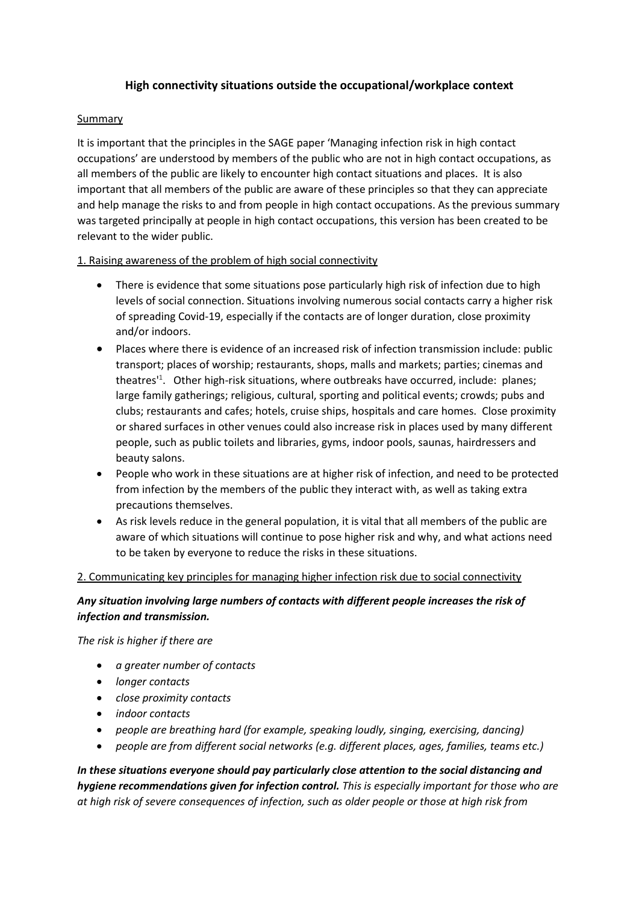# **High connectivity situations outside the occupational/workplace context**

## Summary

It is important that the principles in the SAGE paper 'Managing infection risk in high contact occupations' are understood by members of the public who are not in high contact occupations, as all members of the public are likely to encounter high contact situations and places. It is also important that all members of the public are aware of these principles so that they can appreciate and help manage the risks to and from people in high contact occupations. As the previous summary was targeted principally at people in high contact occupations, this version has been created to be relevant to the wider public.

# 1. Raising awareness of the problem of high social connectivity

- There is evidence that some situations pose particularly high risk of infection due to high levels of social connection. Situations involving numerous social contacts carry a higher risk of spreading Covid-19, especially if the contacts are of longer duration, close proximity and/or indoors.
- Places where there is evidence of an increased risk of infection transmission include: public transport; places of worship; restaurants, shops, malls and markets; parties; cinemas and theatres<sup>11</sup>. Other high-risk situations, where outbreaks have occurred, include: planes; large family gatherings; religious, cultural, sporting and political events; crowds; pubs and clubs; restaurants and cafes; hotels, cruise ships, hospitals and care homes. Close proximity or shared surfaces in other venues could also increase risk in places used by many different people, such as public toilets and libraries, gyms, indoor pools, saunas, hairdressers and beauty salons.
- People who work in these situations are at higher risk of infection, and need to be protected from infection by the members of the public they interact with, as well as taking extra precautions themselves.
- As risk levels reduce in the general population, it is vital that all members of the public are aware of which situations will continue to pose higher risk and why, and what actions need to be taken by everyone to reduce the risks in these situations.

#### 2. Communicating key principles for managing higher infection risk due to social connectivity

# *Any situation involving large numbers of contacts with different people increases the risk of infection and transmission.*

*The risk is higher if there are* 

- *a greater number of contacts*
- *longer contacts*
- *close proximity contacts*
- *indoor contacts*
- *people are breathing hard (for example, speaking loudly, singing, exercising, dancing)*
- *people are from different social networks (e.g. different places, ages, families, teams etc.)*

*In these situations everyone should pay particularly close attention to the social distancing and hygiene recommendations given for infection control. This is especially important for those who are at high risk of severe consequences of infection, such as older people or those at high risk from*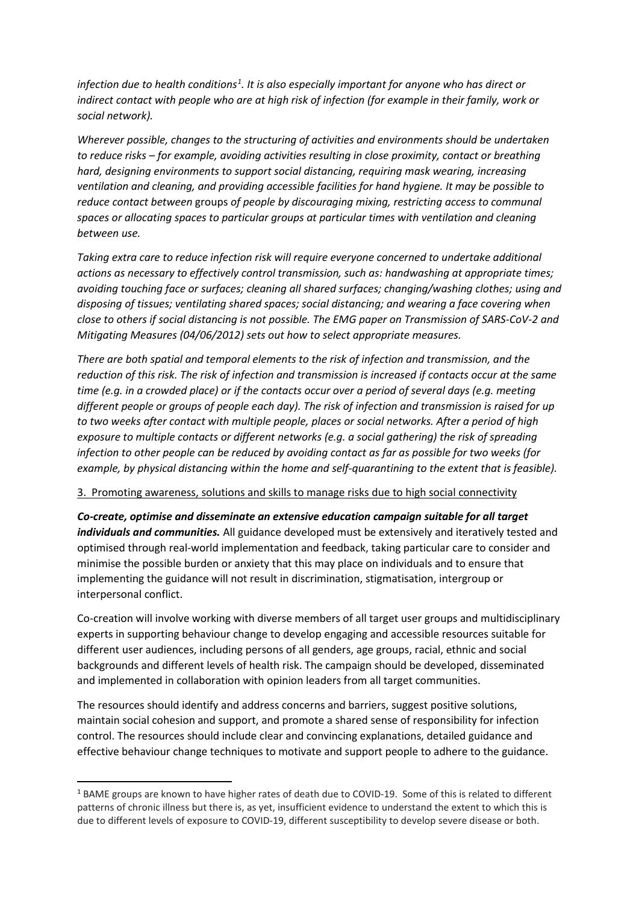infection due to health conditions<sup>1</sup>. It is also especially important for anyone who has direct or *indirect contact with people who are at high risk of infection (for example in their family, work or social network).*

*Wherever possible, changes to the structuring of activities and environments should be undertaken to reduce risks – for example, avoiding activities resulting in close proximity, contact or breathing hard, designing environments to support social distancing, requiring mask wearing, increasing ventilation and cleaning, and providing accessible facilities for hand hygiene. It may be possible to reduce contact between* groups *of people by discouraging mixing, restricting access to communal spaces or allocating spaces to particular groups at particular times with ventilation and cleaning between use.* 

*Taking extra care to reduce infection risk will require everyone concerned to undertake additional actions as necessary to effectively control transmission, such as: handwashing at appropriate times; avoiding touching face or surfaces; cleaning all shared surfaces; changing/washing clothes; using and disposing of tissues; ventilating shared spaces; social distancing; and wearing a face covering when close to others if social distancing is not possible. The EMG paper on Transmission of SARS-CoV-2 and Mitigating Measures (04/06/2012) sets out how to select appropriate measures.*

*There are both spatial and temporal elements to the risk of infection and transmission, and the reduction of this risk. The risk of infection and transmission is increased if contacts occur at the same time (e.g. in a crowded place) or if the contacts occur over a period of several days (e.g. meeting different people or groups of people each day). The risk of infection and transmission is raised for up to two weeks after contact with multiple people, places or social networks. After a period of high exposure to multiple contacts or different networks (e.g. a social gathering) the risk of spreading infection to other people can be reduced by avoiding contact as far as possible for two weeks (for example, by physical distancing within the home and self-quarantining to the extent that is feasible).*

3. Promoting awareness, solutions and skills to manage risks due to high social connectivity

*Co-create, optimise and disseminate an extensive education campaign suitable for all target individuals and communities.* All guidance developed must be extensively and iteratively tested and optimised through real-world implementation and feedback, taking particular care to consider and minimise the possible burden or anxiety that this may place on individuals and to ensure that implementing the guidance will not result in discrimination, stigmatisation, intergroup or interpersonal conflict.

Co-creation will involve working with diverse members of all target user groups and multidisciplinary experts in supporting behaviour change to develop engaging and accessible resources suitable for different user audiences, including persons of all genders, age groups, racial, ethnic and social backgrounds and different levels of health risk. The campaign should be developed, disseminated and implemented in collaboration with opinion leaders from all target communities.

The resources should identify and address concerns and barriers, suggest positive solutions, maintain social cohesion and support, and promote a shared sense of responsibility for infection control. The resources should include clear and convincing explanations, detailed guidance and effective behaviour change techniques to motivate and support people to adhere to the guidance.

<sup>&</sup>lt;sup>1</sup> BAME groups are known to have higher rates of death due to COVID-19. Some of this is related to different patterns of chronic illness but there is, as yet, insufficient evidence to understand the extent to which this is due to different levels of exposure to COVID-19, different susceptibility to develop severe disease or both.